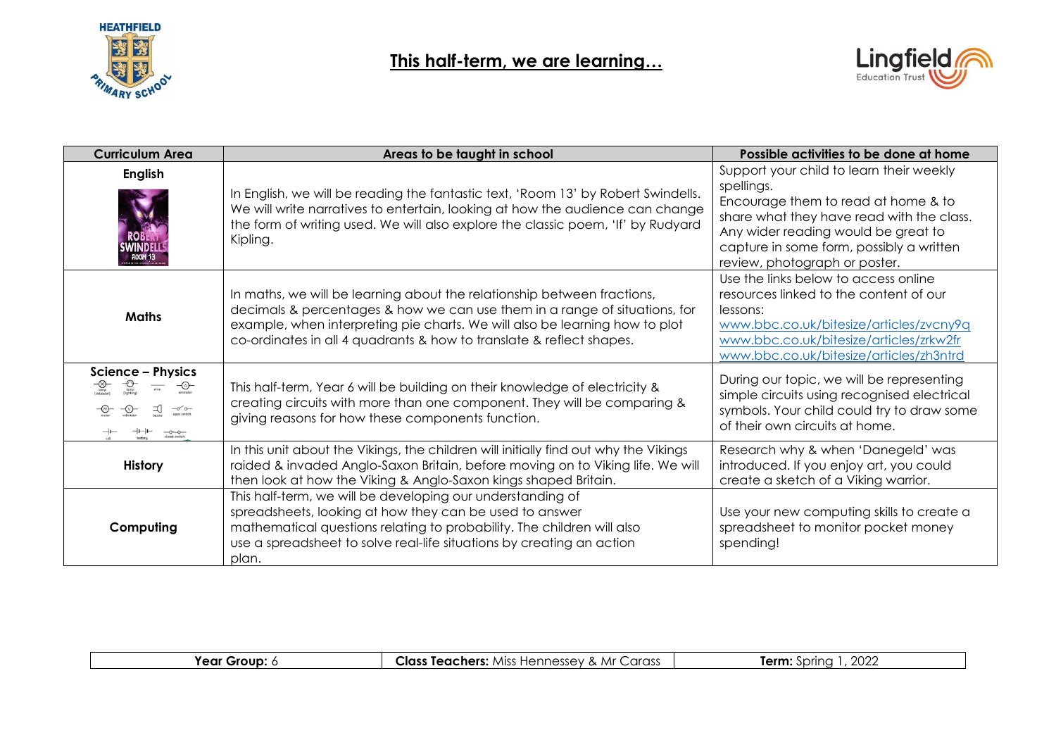

## **This half-term, we are learning…**



| <b>Curriculum Area</b>                                                              | Areas to be taught in school                                                                                                                                                                                                                                                                                 | Possible activities to be done at home                                                                                                                                                                                                                         |
|-------------------------------------------------------------------------------------|--------------------------------------------------------------------------------------------------------------------------------------------------------------------------------------------------------------------------------------------------------------------------------------------------------------|----------------------------------------------------------------------------------------------------------------------------------------------------------------------------------------------------------------------------------------------------------------|
| <b>English</b><br>INDELI<br><b>ROOM 13</b>                                          | In English, we will be reading the fantastic text, 'Room 13' by Robert Swindells.<br>We will write narratives to entertain, looking at how the audience can change<br>the form of writing used. We will also explore the classic poem, 'If' by Rudyard<br>Kipling.                                           | Support your child to learn their weekly<br>spellings.<br>Encourage them to read at home & to<br>share what they have read with the class.<br>Any wider reading would be great to<br>capture in some form, possibly a written<br>review, photograph or poster. |
| <b>Maths</b>                                                                        | In maths, we will be learning about the relationship between fractions,<br>decimals & percentages & how we can use them in a range of situations, for<br>example, when interpreting pie charts. We will also be learning how to plot<br>co-ordinates in all 4 quadrants & how to translate & reflect shapes. | Use the links below to access online<br>resources linked to the content of our<br>lessons:<br>www.bbc.co.uk/bitesize/articles/zvcny9q<br>www.bbc.co.uk/bitesize/articles/zrkw2fr<br>www.bbc.co.uk/bitesize/articles/zh3ntrd                                    |
| <b>Science - Physics</b><br>$-Q-$<br>wire<br>$\Box$ $\Box$ $\Box$ $\Box$<br>$    -$ | This half-term, Year 6 will be building on their knowledge of electricity &<br>creating circuits with more than one component. They will be comparing &<br>giving reasons for how these components function.                                                                                                 | During our topic, we will be representing<br>simple circuits using recognised electrical<br>symbols. Your child could try to draw some<br>of their own circuits at home.                                                                                       |
| <b>History</b>                                                                      | In this unit about the Vikings, the children will initially find out why the Vikings<br>raided & invaded Anglo-Saxon Britain, before moving on to Viking life. We will<br>then look at how the Viking & Anglo-Saxon kings shaped Britain.                                                                    | Research why & when 'Danegeld' was<br>introduced. If you enjoy art, you could<br>create a sketch of a Viking warrior.                                                                                                                                          |
| Computing                                                                           | This half-term, we will be developing our understanding of<br>spreadsheets, looking at how they can be used to answer<br>mathematical questions relating to probability. The children will also<br>use a spreadsheet to solve real-life situations by creating an action<br>plan.                            | Use your new computing skills to create a<br>spreadsheet to monitor pocket money<br>spending!                                                                                                                                                                  |

| : Group:<br>ear | <b>Class</b><br>Carass<br>Teachers:<br>Hennessev .<br>MIS <sup>e</sup><br>& Mr | ാറാവ<br>Term <sup>.</sup><br>inrına<br>ZUZ. |
|-----------------|--------------------------------------------------------------------------------|---------------------------------------------|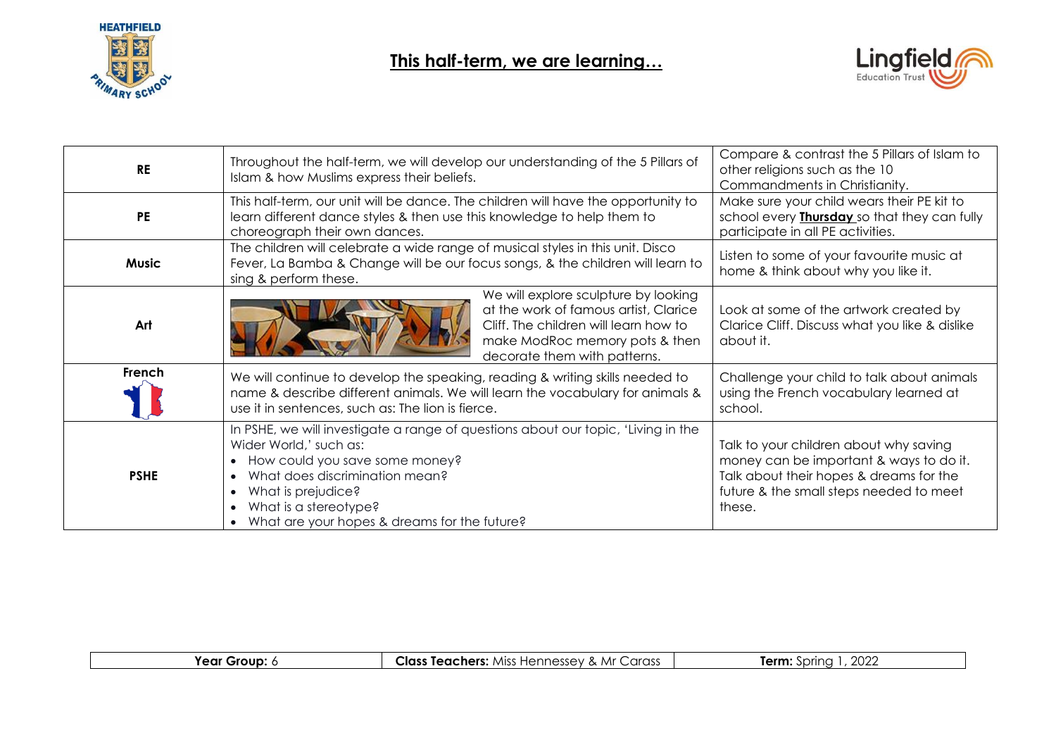



| <b>RE</b>    | Throughout the half-term, we will develop our understanding of the 5 Pillars of<br>Islam & how Muslims express their beliefs.                                                                                                                                                                            | Compare & contrast the 5 Pillars of Islam to<br>other religions such as the 10<br>Commandments in Christianity.                                                                   |
|--------------|----------------------------------------------------------------------------------------------------------------------------------------------------------------------------------------------------------------------------------------------------------------------------------------------------------|-----------------------------------------------------------------------------------------------------------------------------------------------------------------------------------|
| <b>PE</b>    | This half-term, our unit will be dance. The children will have the opportunity to<br>learn different dance styles & then use this knowledge to help them to<br>choreograph their own dances.                                                                                                             | Make sure your child wears their PE kit to<br>school every <b>Thursday</b> so that they can fully<br>participate in all PE activities.                                            |
| <b>Music</b> | The children will celebrate a wide range of musical styles in this unit. Disco<br>Fever, La Bamba & Change will be our focus songs, & the children will learn to<br>sing & perform these.                                                                                                                | Listen to some of your favourite music at<br>home & think about why you like it.                                                                                                  |
| Art          | We will explore sculpture by looking<br>at the work of famous artist, Clarice<br>Cliff. The children will learn how to<br>make ModRoc memory pots & then<br>decorate them with patterns.                                                                                                                 | Look at some of the artwork created by<br>Clarice Cliff. Discuss what you like & dislike<br>about it.                                                                             |
| French       | We will continue to develop the speaking, reading & writing skills needed to<br>name & describe different animals. We will learn the vocabulary for animals &<br>use it in sentences, such as: The lion is fierce.                                                                                       | Challenge your child to talk about animals<br>using the French vocabulary learned at<br>school.                                                                                   |
| <b>PSHE</b>  | In PSHE, we will investigate a range of questions about our topic, 'Living in the<br>Wider World,' such as:<br>How could you save some money?<br>$\bullet$<br>What does discrimination mean?<br>What is prejudice?<br>What is a stereotype?<br>$\bullet$<br>What are your hopes & dreams for the future? | Talk to your children about why saving<br>money can be important & ways to do it.<br>Talk about their hopes & dreams for the<br>future & the small steps needed to meet<br>these. |

| 'ear<br>-----<br>∵Grou⊾ | Class<br>۸⁄ir<br>arass:<br>$\sim$ $\sim$ $\sim$<br>. Teachers: 1<br>$A_{\rm ICC}$<br>≘nnessu−<br>SSPZ<br>пe<br>$\alpha$<br>◡ | $\sim$<br>Term<br>inrina<br>- LULL |
|-------------------------|------------------------------------------------------------------------------------------------------------------------------|------------------------------------|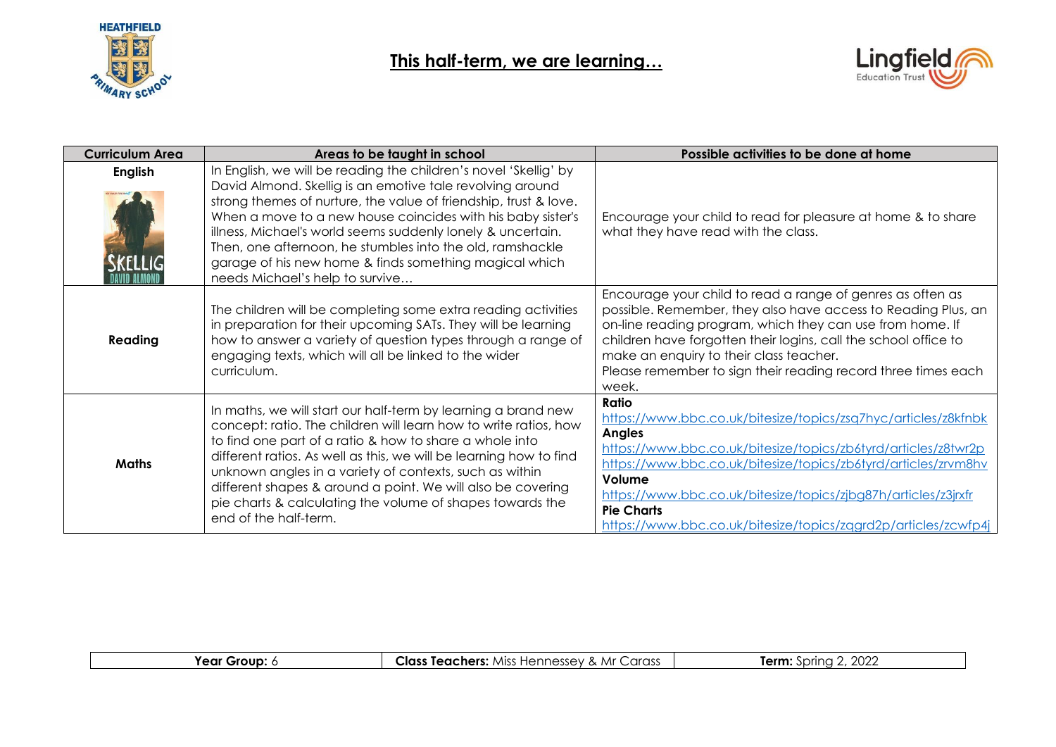



| <b>Curriculum Area</b> | Areas to be taught in school                                                                                                                                                                                                                                                                                                                                                                                                                                                              | Possible activities to be done at home                                                                                                                                                                                                                                                                                                                                                          |
|------------------------|-------------------------------------------------------------------------------------------------------------------------------------------------------------------------------------------------------------------------------------------------------------------------------------------------------------------------------------------------------------------------------------------------------------------------------------------------------------------------------------------|-------------------------------------------------------------------------------------------------------------------------------------------------------------------------------------------------------------------------------------------------------------------------------------------------------------------------------------------------------------------------------------------------|
| <b>English</b>         | In English, we will be reading the children's novel 'Skellig' by<br>David Almond. Skellig is an emotive tale revolving around<br>strong themes of nurture, the value of friendship, trust & love.<br>When a move to a new house coincides with his baby sister's<br>illness, Michael's world seems suddenly lonely & uncertain.<br>Then, one afternoon, he stumbles into the old, ramshackle<br>garage of his new home & finds something magical which<br>needs Michael's help to survive | Encourage your child to read for pleasure at home & to share<br>what they have read with the class.                                                                                                                                                                                                                                                                                             |
| Reading                | The children will be completing some extra reading activities<br>in preparation for their upcoming SATs. They will be learning<br>how to answer a variety of question types through a range of<br>engaging texts, which will all be linked to the wider<br>curriculum.                                                                                                                                                                                                                    | Encourage your child to read a range of genres as often as<br>possible. Remember, they also have access to Reading Plus, an<br>on-line reading program, which they can use from home. If<br>children have forgotten their logins, call the school office to<br>make an enquiry to their class teacher.<br>Please remember to sign their reading record three times each<br>week.                |
| <b>Maths</b>           | In maths, we will start our half-term by learning a brand new<br>concept: ratio. The children will learn how to write ratios, how<br>to find one part of a ratio & how to share a whole into<br>different ratios. As well as this, we will be learning how to find<br>unknown angles in a variety of contexts, such as within<br>different shapes & around a point. We will also be covering<br>pie charts & calculating the volume of shapes towards the<br>end of the half-term.        | Ratio<br>https://www.bbc.co.uk/bitesize/topics/zsq7hyc/articles/z8kfnbk<br><b>Angles</b><br>https://www.bbc.co.uk/bitesize/topics/zb6tyrd/articles/z8twr2p<br>https://www.bbc.co.uk/bitesize/topics/zb6tyrd/articles/zrvm8hv<br>Volume<br>https://www.bbc.co.uk/bitesize/topics/zjbg87h/articles/z3jrxfr<br><b>Pie Charts</b><br>https://www.bbc.co.uk/bitesize/topics/zqgrd2p/articles/zcwfp4j |

| Group<br>'ear | <b>Class</b><br>Carass<br>. Mr<br>Teachers:<br><b>MISS</b><br>naccav,<br>⊟∆nr<br>.<br>. . | nnnr<br>~~~<br>inrina<br>.m<br><b>LULI</b> |
|---------------|-------------------------------------------------------------------------------------------|--------------------------------------------|